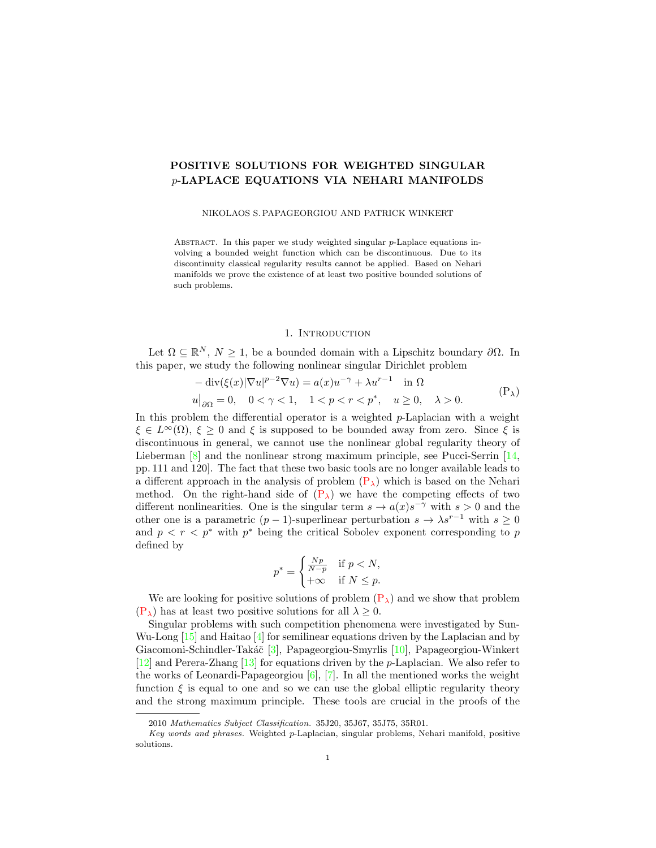# POSITIVE SOLUTIONS FOR WEIGHTED SINGULAR p-LAPLACE EQUATIONS VIA NEHARI MANIFOLDS

## NIKOLAOS S. PAPAGEORGIOU AND PATRICK WINKERT

ABSTRACT. In this paper we study weighted singular  $p$ -Laplace equations involving a bounded weight function which can be discontinuous. Due to its discontinuity classical regularity results cannot be applied. Based on Nehari manifolds we prove the existence of at least two positive bounded solutions of such problems.

#### <span id="page-0-0"></span>1. INTRODUCTION

Let  $\Omega \subseteq \mathbb{R}^N$ ,  $N \geq 1$ , be a bounded domain with a Lipschitz boundary  $\partial \Omega$ . In this paper, we study the following nonlinear singular Dirichlet problem

$$
-\operatorname{div}(\xi(x)|\nabla u|^{p-2}\nabla u) = a(x)u^{-\gamma} + \lambda u^{r-1} \quad \text{in } \Omega
$$
  

$$
u|_{\partial\Omega} = 0, \quad 0 < \gamma < 1, \quad 1 < p < r < p^*, \quad u \ge 0, \quad \lambda > 0.
$$
 (P<sub>\lambda</sub>)

In this problem the differential operator is a weighted  $p$ -Laplacian with a weight  $\xi \in L^{\infty}(\Omega)$ ,  $\xi \geq 0$  and  $\xi$  is supposed to be bounded away from zero. Since  $\xi$  is discontinuous in general, we cannot use the nonlinear global regularity theory of Lieberman [\[8\]](#page-11-0) and the nonlinear strong maximum principle, see Pucci-Serrin [\[14,](#page-11-1) pp. 111 and 120]. The fact that these two basic tools are no longer available leads to a different approach in the analysis of problem  $(P_{\lambda})$  $(P_{\lambda})$  which is based on the Nehari method. On the right-hand side of  $(P_{\lambda})$  $(P_{\lambda})$  we have the competing effects of two different nonlinearities. One is the singular term  $s \to a(x)s^{-\gamma}$  with  $s > 0$  and the other one is a parametric  $(p-1)$ -superlinear perturbation  $s \to \lambda s^{r-1}$  with  $s \geq 0$ and  $p < r < p^*$  with  $p^*$  being the critical Sobolev exponent corresponding to p defined by

$$
p^* = \begin{cases} \frac{Np}{N-p} & \text{if } p < N, \\ +\infty & \text{if } N \le p. \end{cases}
$$

We are looking for positive solutions of problem  $(P_{\lambda})$  $(P_{\lambda})$  and we show that problem  $(P_{\lambda})$  $(P_{\lambda})$  has at least two positive solutions for all  $\lambda \geq 0$ .

Singular problems with such competition phenomena were investigated by Sun-Wu-Long  $[15]$  and Haitao  $[4]$  for semilinear equations driven by the Laplacian and by Giacomoni-Schindler-Takáč [\[3\]](#page-10-0), Papageorgiou-Smyrlis [\[10\]](#page-11-4), Papageorgiou-Winkert [\[12\]](#page-11-5) and Perera-Zhang [\[13\]](#page-11-6) for equations driven by the p-Laplacian. We also refer to the works of Leonardi-Papageorgiou  $[6]$ ,  $[7]$ . In all the mentioned works the weight function  $\xi$  is equal to one and so we can use the global elliptic regularity theory and the strong maximum principle. These tools are crucial in the proofs of the

<sup>2010</sup> Mathematics Subject Classification. 35J20, 35J67, 35J75, 35R01.

Key words and phrases. Weighted p-Laplacian, singular problems, Nehari manifold, positive solutions.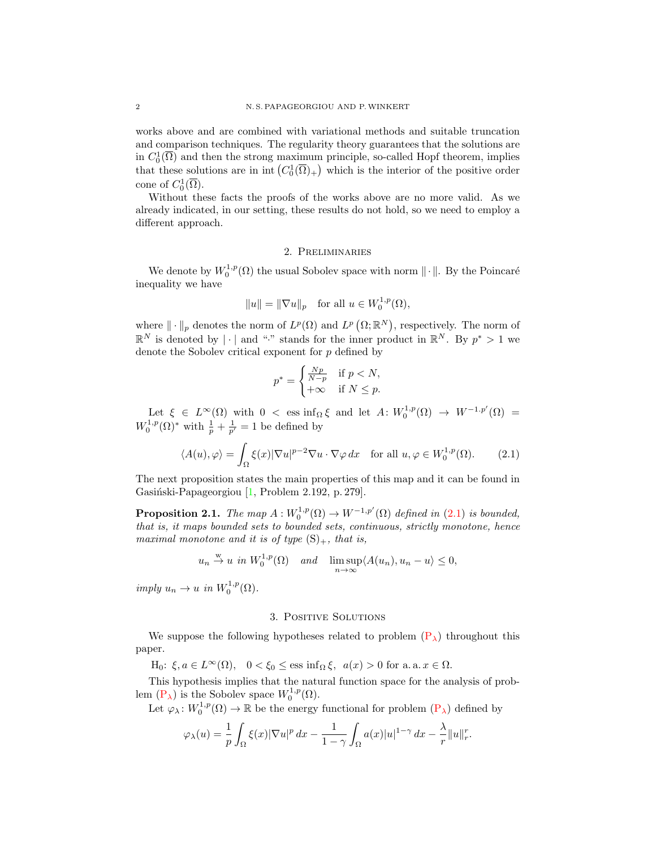works above and are combined with variational methods and suitable truncation and comparison techniques. The regularity theory guarantees that the solutions are in  $C_0^1(\overline{\Omega})$  and then the strong maximum principle, so-called Hopf theorem, implies that these solutions are in  $\text{int}(C_0^1(\overline{\Omega})_+)$  which is the interior of the positive order cone of  $C_0^1(\overline{\Omega})$ .

Without these facts the proofs of the works above are no more valid. As we already indicated, in our setting, these results do not hold, so we need to employ a different approach.

### 2. Preliminaries

We denote by  $W_0^{1,p}(\Omega)$  the usual Sobolev space with norm  $\|\cdot\|$ . By the Poincaré inequality we have

$$
||u|| = ||\nabla u||_p
$$
 for all  $u \in W_0^{1,p}(\Omega)$ ,

where  $\|\cdot\|_p$  denotes the norm of  $L^p(\Omega)$  and  $L^p(\Omega;\mathbb{R}^N)$ , respectively. The norm of  $\mathbb{R}^N$  is denoted by  $|\cdot|$  and "." stands for the inner product in  $\mathbb{R}^N$ . By  $p^* > 1$  we denote the Sobolev critical exponent for  $p$  defined by

<span id="page-1-0"></span>
$$
p^* = \begin{cases} \frac{Np}{N-p} & \text{if } p < N, \\ +\infty & \text{if } N \le p. \end{cases}
$$

Let  $\xi \in L^{\infty}(\Omega)$  with  $0 < \text{ess inf}_{\Omega} \xi$  and let  $A: W_0^{1,p}(\Omega) \to W^{-1,p'}(\Omega) =$  $W_0^{1,p}(\Omega)^*$  with  $\frac{1}{p} + \frac{1}{p'} = 1$  be defined by

$$
\langle A(u), \varphi \rangle = \int_{\Omega} \xi(x) |\nabla u|^{p-2} \nabla u \cdot \nabla \varphi \, dx \quad \text{for all } u, \varphi \in W_0^{1,p}(\Omega). \tag{2.1}
$$

The next proposition states the main properties of this map and it can be found in Gasiński-Papageorgiou [\[1,](#page-10-1) Problem 2.192, p. 279].

**Proposition 2.1.** The map  $A: W_0^{1,p}(\Omega) \to W^{-1,p'}(\Omega)$  defined in [\(2.1\)](#page-1-0) is bounded, that is, it maps bounded sets to bounded sets, continuous, strictly monotone, hence maximal monotone and it is of type  $(S)_+$ , that is,

$$
u_n \stackrel{w}{\to} u
$$
 in  $W_0^{1,p}(\Omega)$  and  $\lim_{n \to \infty} \sup \langle A(u_n), u_n - u \rangle \leq 0$ ,

imply  $u_n \to u$  in  $W_0^{1,p}(\Omega)$ .

# 3. Positive Solutions

We suppose the following hypotheses related to problem  $(P_{\lambda})$  $(P_{\lambda})$  throughout this paper.

H<sub>0</sub>:  $\xi, a \in L^{\infty}(\Omega)$ ,  $0 < \xi_0 \le \text{ess inf}_{\Omega} \xi$ ,  $a(x) > 0$  for a. a.  $x \in \Omega$ .

This hypothesis implies that the natural function space for the analysis of problem  $(P_{\lambda})$  $(P_{\lambda})$  is the Sobolev space  $W_0^{1,p}(\Omega)$ .

Let  $\varphi_\lambda\colon W_0^{1,p}(\Omega) \to \mathbb{R}$  be the energy functional for problem  $(P_\lambda)$  $(P_\lambda)$  defined by

$$
\varphi_{\lambda}(u) = \frac{1}{p} \int_{\Omega} \xi(x) |\nabla u|^p dx - \frac{1}{1 - \gamma} \int_{\Omega} a(x) |u|^{1 - \gamma} dx - \frac{\lambda}{r} ||u||_r^r.
$$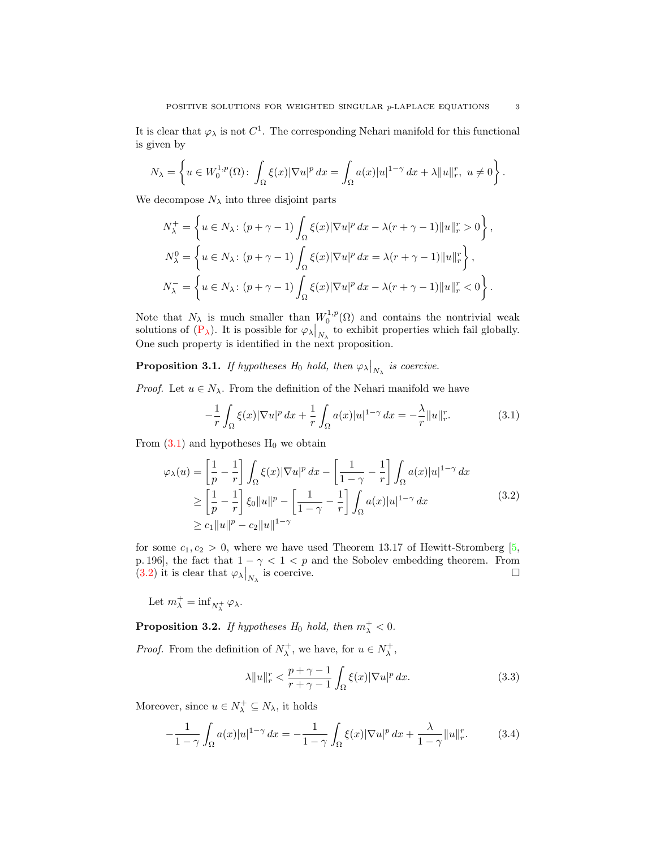It is clear that  $\varphi_{\lambda}$  is not  $C^1$ . The corresponding Nehari manifold for this functional is given by

$$
N_{\lambda} = \left\{ u \in W_0^{1,p}(\Omega) \colon \int_{\Omega} \xi(x) |\nabla u|^p dx = \int_{\Omega} a(x) |u|^{1-\gamma} dx + \lambda ||u||_r^r, u \neq 0 \right\}.
$$

We decompose  $N_{\lambda}$  into three disjoint parts

$$
N_{\lambda}^{+} = \left\{ u \in N_{\lambda} \colon (p + \gamma - 1) \int_{\Omega} \xi(x) |\nabla u|^{p} dx - \lambda (r + \gamma - 1) ||u||_{r}^{r} > 0 \right\},
$$
  
\n
$$
N_{\lambda}^{0} = \left\{ u \in N_{\lambda} \colon (p + \gamma - 1) \int_{\Omega} \xi(x) |\nabla u|^{p} dx = \lambda (r + \gamma - 1) ||u||_{r}^{r} \right\},
$$
  
\n
$$
N_{\lambda}^{-} = \left\{ u \in N_{\lambda} \colon (p + \gamma - 1) \int_{\Omega} \xi(x) |\nabla u|^{p} dx - \lambda (r + \gamma - 1) ||u||_{r}^{r} < 0 \right\}.
$$

Note that  $N_{\lambda}$  is much smaller than  $W_0^{1,p}(\Omega)$  and contains the nontrivial weak solutions of  $(P_{\lambda})$  $(P_{\lambda})$ . It is possible for  $\varphi_{\lambda}|_{N_{\lambda}}$  to exhibit properties which fail globally. One such property is identified in the next proposition.

<span id="page-2-4"></span>**Proposition 3.1.** If hypotheses  $H_0$  hold, then  $\varphi_{\lambda}|_{N_{\lambda}}$  is coercive.

*Proof.* Let  $u \in N_\lambda$ . From the definition of the Nehari manifold we have

<span id="page-2-1"></span><span id="page-2-0"></span>
$$
-\frac{1}{r}\int_{\Omega}\xi(x)|\nabla u|^p\,dx + \frac{1}{r}\int_{\Omega}a(x)|u|^{1-\gamma}\,dx = -\frac{\lambda}{r}\|u\|_r^r.\tag{3.1}
$$

From  $(3.1)$  and hypotheses  $H_0$  we obtain

$$
\varphi_{\lambda}(u) = \left[\frac{1}{p} - \frac{1}{r}\right] \int_{\Omega} \xi(x) |\nabla u|^p dx - \left[\frac{1}{1-\gamma} - \frac{1}{r}\right] \int_{\Omega} a(x) |u|^{1-\gamma} dx
$$
  
\n
$$
\geq \left[\frac{1}{p} - \frac{1}{r}\right] \xi_0 \|u\|^p - \left[\frac{1}{1-\gamma} - \frac{1}{r}\right] \int_{\Omega} a(x) |u|^{1-\gamma} dx
$$
  
\n
$$
\geq c_1 \|u\|^p - c_2 \|u\|^{1-\gamma}
$$
\n(3.2)

for some  $c_1, c_2 > 0$ , where we have used Theorem 13.17 of Hewitt-Stromberg [\[5,](#page-11-9) p. 196], the fact that  $1 - \gamma < 1 < p$  and the Sobolev embedding theorem. From [\(3.2\)](#page-2-1) it is clear that  $\varphi_{\lambda}|_{N_{\lambda}}$ is coercive.  $\Box$ 

Let  $m_{\lambda}^+ = \inf_{N_{\lambda}^+} \varphi_{\lambda}$ .

**Proposition 3.2.** If hypotheses  $H_0$  hold, then  $m_{\lambda}^+ < 0$ .

*Proof.* From the definition of  $N_{\lambda}^{+}$ , we have, for  $u \in N_{\lambda}^{+}$ ,

<span id="page-2-3"></span><span id="page-2-2"></span>
$$
\lambda \|u\|_r^r < \frac{p+\gamma-1}{r+\gamma-1} \int_{\Omega} \xi(x) |\nabla u|^p \, dx. \tag{3.3}
$$

Moreover, since  $u \in N^+_\lambda \subseteq N_\lambda$ , it holds

$$
-\frac{1}{1-\gamma} \int_{\Omega} a(x)|u|^{1-\gamma} dx = -\frac{1}{1-\gamma} \int_{\Omega} \xi(x) |\nabla u|^p dx + \frac{\lambda}{1-\gamma} ||u||_r^r. \tag{3.4}
$$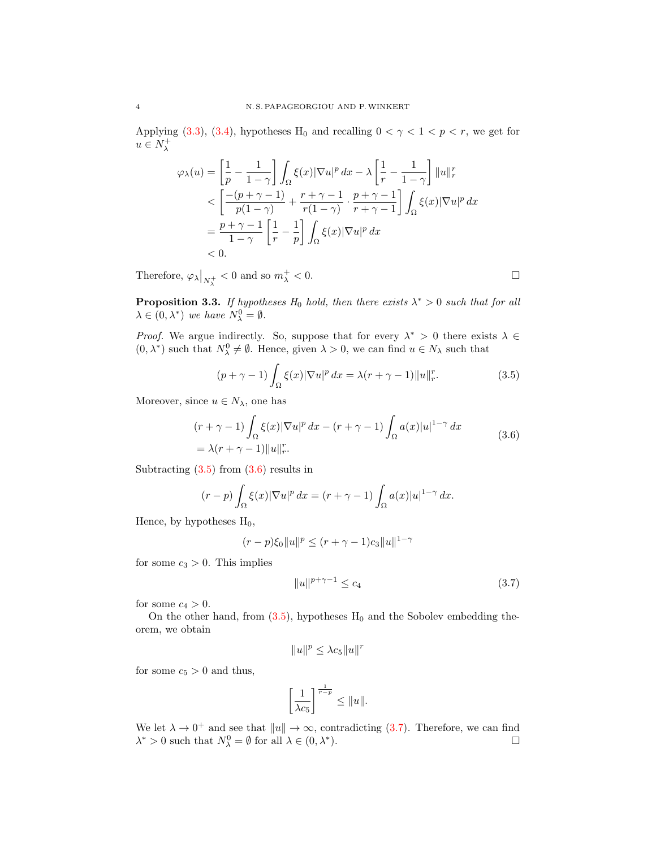Applying [\(3.3\)](#page-2-2), [\(3.4\)](#page-2-3), hypotheses H<sub>0</sub> and recalling  $0 < \gamma < 1 < p < r$ , we get for  $u \in N_\lambda^+$ 

$$
\varphi_{\lambda}(u) = \left[\frac{1}{p} - \frac{1}{1-\gamma}\right] \int_{\Omega} \xi(x) |\nabla u|^p dx - \lambda \left[\frac{1}{r} - \frac{1}{1-\gamma}\right] ||u||_r^r
$$
  

$$
< \left[\frac{-(p+\gamma-1)}{p(1-\gamma)} + \frac{r+\gamma-1}{r(1-\gamma)} \cdot \frac{p+\gamma-1}{r+\gamma-1}\right] \int_{\Omega} \xi(x) |\nabla u|^p dx
$$
  

$$
= \frac{p+\gamma-1}{1-\gamma} \left[\frac{1}{r} - \frac{1}{p}\right] \int_{\Omega} \xi(x) |\nabla u|^p dx
$$
  

$$
< 0.
$$

Therefore,  $\varphi_{\lambda}|_{N_{\lambda}^{+}} < 0$  and so  $m_{\lambda}^{+} < 0$ .

<span id="page-3-3"></span>**Proposition 3.3.** If hypotheses  $H_0$  hold, then there exists  $\lambda^* > 0$  such that for all  $\lambda \in (0, \lambda^*)$  we have  $N_{\lambda}^0 = \emptyset$ .

*Proof.* We argue indirectly. So, suppose that for every  $\lambda^* > 0$  there exists  $\lambda \in$  $(0, \lambda^*)$  such that  $N^0_{\lambda} \neq \emptyset$ . Hence, given  $\lambda > 0$ , we can find  $u \in N_{\lambda}$  such that

$$
(p + \gamma - 1) \int_{\Omega} \xi(x) |\nabla u|^p dx = \lambda (r + \gamma - 1) ||u||_r^r.
$$
 (3.5)

Moreover, since  $u \in N_\lambda$ , one has

$$
(r + \gamma - 1) \int_{\Omega} \xi(x) |\nabla u|^p dx - (r + \gamma - 1) \int_{\Omega} a(x) |u|^{1-\gamma} dx
$$
  
=  $\lambda (r + \gamma - 1) ||u||_r^r$ . (3.6)

Subtracting  $(3.5)$  from  $(3.6)$  results in

$$
(r-p)\int_{\Omega}\xi(x)|\nabla u|^p dx = (r+\gamma-1)\int_{\Omega}a(x)|u|^{1-\gamma} dx.
$$

Hence, by hypotheses  $H_0$ ,

$$
(r-p)\xi_0\|u\|^p \le (r+\gamma-1)c_3\|u\|^{1-\gamma}
$$

for some  $c_3 > 0$ . This implies

<span id="page-3-2"></span>
$$
||u||^{p+\gamma-1} \le c_4 \tag{3.7}
$$

for some  $c_4 > 0$ .

On the other hand, from  $(3.5)$ , hypotheses  $H_0$  and the Sobolev embedding theorem, we obtain

$$
||u||^p \leq \lambda c_5 ||u||^r
$$

for some  $c_5 > 0$  and thus,

$$
\left[\frac{1}{\lambda c_5}\right]^{\frac{1}{r-p}} \leq \|u\|.
$$

We let  $\lambda \to 0^+$  and see that  $||u|| \to \infty$ , contradicting [\(3.7\)](#page-3-2). Therefore, we can find  $\lambda^* > 0$  such that  $N^0_{\lambda} = \emptyset$  for all  $\lambda \in (0, \lambda^*$ ).  $\qquad \qquad \square$ 

<span id="page-3-1"></span><span id="page-3-0"></span>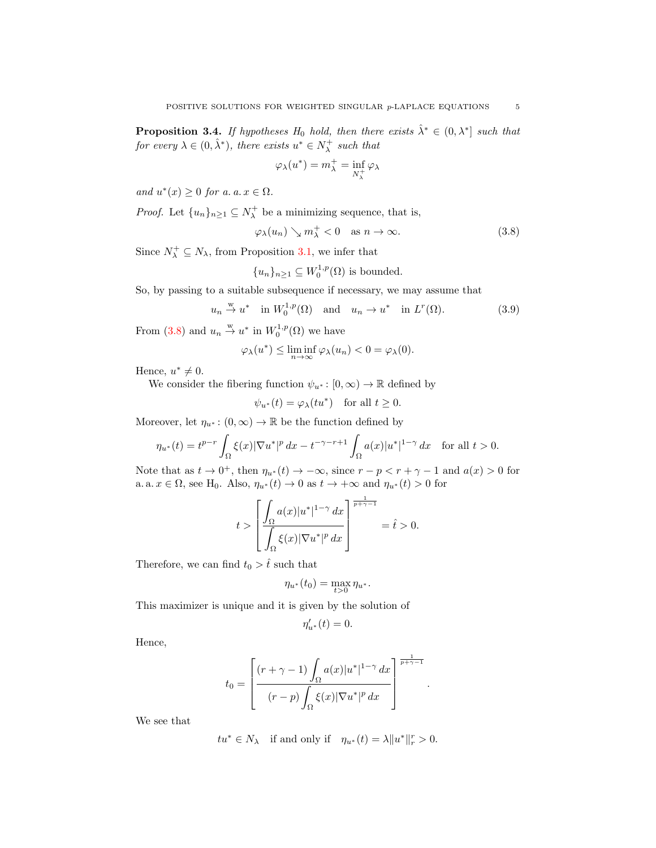<span id="page-4-2"></span>**Proposition 3.4.** If hypotheses  $H_0$  hold, then there exists  $\hat{\lambda}^* \in (0, \lambda^*)$  such that for every  $\lambda \in (0, \hat{\lambda}^*)$ , there exists  $u^* \in N_\lambda^+$  such that

<span id="page-4-0"></span>
$$
\varphi_{\lambda}(u^{*}) = m_{\lambda}^{+} = \inf_{N_{\lambda}^{+}} \varphi_{\lambda}
$$

and  $u^*(x) \geq 0$  for a. a.  $x \in \Omega$ .

*Proof.* Let  $\{u_n\}_{n\geq 1} \subseteq N_\lambda^+$  be a minimizing sequence, that is,

$$
\varphi_{\lambda}(u_n) \searrow m_{\lambda}^+ < 0 \quad \text{as } n \to \infty. \tag{3.8}
$$

Since  $N_{\lambda}^+ \subseteq N_{\lambda}$ , from Proposition [3.1,](#page-2-4) we infer that

<span id="page-4-1"></span>
$$
{u_n}_{n\geq 1} \subseteq W_0^{1,p}(\Omega)
$$
 is bounded.

So, by passing to a suitable subsequence if necessary, we may assume that

$$
u_n \stackrel{\text{w}}{\rightarrow} u^*
$$
 in  $W_0^{1,p}(\Omega)$  and  $u_n \rightarrow u^*$  in  $L^r(\Omega)$ . (3.9)

From [\(3.8\)](#page-4-0) and  $u_n \stackrel{w}{\rightarrow} u^*$  in  $W_0^{1,p}(\Omega)$  we have

$$
\varphi_{\lambda}(u^*) \le \liminf_{n \to \infty} \varphi_{\lambda}(u_n) < 0 = \varphi_{\lambda}(0).
$$

Hence,  $u^* \neq 0$ .

We consider the fibering function  $\psi_{u^*}: [0, \infty) \to \mathbb{R}$  defined by

$$
\psi_{u^*}(t) = \varphi_{\lambda}(tu^*)
$$
 for all  $t \ge 0$ .

Moreover, let  $\eta_{u^*} : (0, \infty) \to \mathbb{R}$  be the function defined by

$$
\eta_{u^*}(t) = t^{p-r} \int_{\Omega} \xi(x) |\nabla u^*|^p \, dx - t^{-\gamma - r + 1} \int_{\Omega} a(x) |u^*|^{1-\gamma} \, dx \quad \text{for all } t > 0.
$$

Note that as  $t \to 0^+$ , then  $\eta_{u^*}(t) \to -\infty$ , since  $r - p < r + \gamma - 1$  and  $a(x) > 0$  for a. a.  $x \in \Omega$ , see H<sub>0</sub>. Also,  $\eta_{u^*}(t) \to 0$  as  $t \to +\infty$  and  $\eta_{u^*}(t) > 0$  for

$$
t > \left[ \frac{\displaystyle \int_{\Omega} a(x) |u^*|^{1-\gamma} dx}{\displaystyle \int_{\Omega} \xi(x) |\nabla u^*|^p dx} \right]^{\frac{1}{p+\gamma-1}} = \hat{t} > 0.
$$

Therefore, we can find  $t_0 > \hat{t}$  such that

$$
\eta_{u^*}(t_0)=\max_{t>0}\eta_{u^*}.
$$

This maximizer is unique and it is given by the solution of

$$
\eta'_{u^*}(t) = 0.
$$

Hence,

$$
t_0 = \left[ \frac{(r+\gamma-1)\int_{\Omega} a(x)|u^*|^{1-\gamma} dx}{(r-p)\int_{\Omega} \xi(x)|\nabla u^*|^p dx} \right]^{\frac{1}{p+\gamma-1}}
$$

.

We see that

$$
tu^* \in N_\lambda
$$
 if and only if  $\eta_{u^*}(t) = \lambda ||u^*||_r^r > 0$ .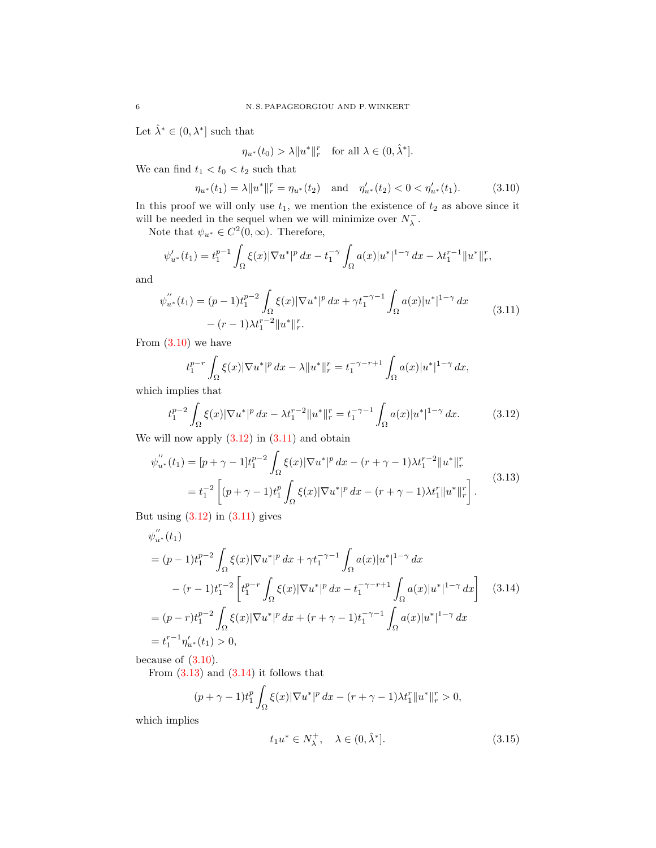Let  $\hat{\lambda}^* \in (0, \lambda^*]$  such that

<span id="page-5-2"></span><span id="page-5-0"></span>
$$
\eta_{u^*}(t_0) > \lambda \|u^*\|_r^r \quad \text{for all } \lambda \in (0, \hat{\lambda}^*].
$$

We can find  $t_1 < t_0 < t_2$  such that

$$
\eta_{u^*}(t_1) = \lambda \|u^*\|_r^r = \eta_{u^*}(t_2) \quad \text{and} \quad \eta'_{u^*}(t_2) < 0 < \eta'_{u^*}(t_1). \tag{3.10}
$$

In this proof we will only use  $t_1$ , we mention the existence of  $t_2$  as above since it will be needed in the sequel when we will minimize over  $N_{\lambda}^{-}.$ 

Note that  $\psi_{u^*} \in C^2(0, \infty)$ . Therefore,

$$
\psi'_{u^*}(t_1) = t_1^{p-1} \int_{\Omega} \xi(x) |\nabla u^*|^p \, dx - t_1^{-\gamma} \int_{\Omega} a(x) |u^*|^{1-\gamma} \, dx - \lambda t_1^{r-1} ||u^*||_r^r,
$$

and

$$
\psi_{u^*}^{''}(t_1) = (p-1)t_1^{p-2} \int_{\Omega} \xi(x) |\nabla u^*|^p dx + \gamma t_1^{-\gamma-1} \int_{\Omega} a(x) |u^*|^{1-\gamma} dx
$$
\n
$$
-(r-1)\lambda t_1^{r-2} \|u^*\|_r^r. \tag{3.11}
$$

From  $(3.10)$  we have

<span id="page-5-3"></span><span id="page-5-1"></span>
$$
t_1^{p-r} \int_{\Omega} \xi(x) |\nabla u^*|^p \, dx - \lambda \| u^* \|_r^r = t_1^{-\gamma - r + 1} \int_{\Omega} a(x) |u^*|^{1-\gamma} \, dx,
$$

which implies that

$$
t_1^{p-2} \int_{\Omega} \xi(x) |\nabla u^*|^p \, dx - \lambda t_1^{r-2} \|u^*\|_r^r = t_1^{-\gamma - 1} \int_{\Omega} a(x) |u^*|^{1-\gamma} \, dx. \tag{3.12}
$$

We will now apply  $(3.12)$  in  $(3.11)$  and obtain

$$
\psi_{u^*}^{''}(t_1) = [p + \gamma - 1]t_1^{p-2} \int_{\Omega} \xi(x) |\nabla u^*|^p dx - (r + \gamma - 1) \lambda t_1^{r-2} ||u^*||_r^r
$$
  
=  $t_1^{-2} \left[ (p + \gamma - 1)t_1^p \int_{\Omega} \xi(x) |\nabla u^*|^p dx - (r + \gamma - 1) \lambda t_1^r ||u^*||_r^r \right].$  (3.13)

But using  $(3.12)$  in  $(3.11)$  gives

$$
\psi_{u^*}^{''}(t_1)
$$
\n
$$
= (p-1)t_1^{p-2} \int_{\Omega} \xi(x) |\nabla u^*|^p dx + \gamma t_1^{-\gamma-1} \int_{\Omega} a(x) |u^*|^{1-\gamma} dx
$$
\n
$$
- (r-1)t_1^{r-2} \left[ t_1^{p-r} \int_{\Omega} \xi(x) |\nabla u^*|^p dx - t_1^{-\gamma-r+1} \int_{\Omega} a(x) |u^*|^{1-\gamma} dx \right] \quad (3.14)
$$
\n
$$
= (p-r)t_1^{p-2} \int_{\Omega} \xi(x) |\nabla u^*|^p dx + (r+\gamma-1)t_1^{-\gamma-1} \int_{\Omega} a(x) |u^*|^{1-\gamma} dx
$$
\n
$$
= t_1^{r-1} \eta_{u^*}'(t_1) > 0,
$$

because of  $(3.10)$ .

From  $(3.13)$  and  $(3.14)$  it follows that

$$
(p + \gamma - 1)t_1^p \int_{\Omega} \xi(x) |\nabla u^*|^p dx - (r + \gamma - 1)\lambda t_1^r \|u^*\|_r^r > 0,
$$

which implies

<span id="page-5-5"></span><span id="page-5-4"></span>
$$
t_1 u^* \in N_\lambda^+, \quad \lambda \in (0, \hat{\lambda}^*]. \tag{3.15}
$$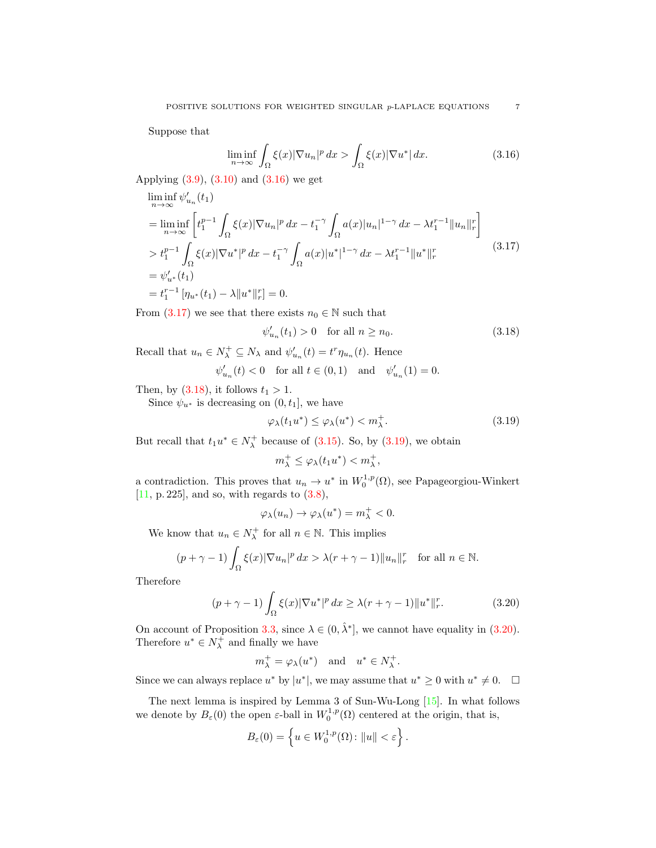Suppose that

$$
\liminf_{n \to \infty} \int_{\Omega} \xi(x) |\nabla u_n|^p \, dx > \int_{\Omega} \xi(x) |\nabla u^*| \, dx. \tag{3.16}
$$

Applying [\(3.9\)](#page-4-1), [\(3.10\)](#page-5-0) and [\(3.16\)](#page-6-0) we get

$$
\liminf_{n \to \infty} \psi'_{u_n}(t_1)
$$
\n
$$
= \liminf_{n \to \infty} \left[ t_1^{p-1} \int_{\Omega} \xi(x) |\nabla u_n|^p dx - t_1^{-\gamma} \int_{\Omega} a(x) |u_n|^{1-\gamma} dx - \lambda t_1^{r-1} ||u_n||_r^r \right]
$$
\n
$$
> t_1^{p-1} \int_{\Omega} \xi(x) |\nabla u^*|^p dx - t_1^{-\gamma} \int_{\Omega} a(x) |u^*|^{1-\gamma} dx - \lambda t_1^{r-1} ||u^*||_r^r
$$
\n
$$
= \psi'_{u^*}(t_1)
$$
\n
$$
= t_1^{r-1} [\eta_{u^*}(t_1) - \lambda ||u^*||_r^r] = 0.
$$
\n(3.17)

From [\(3.17\)](#page-6-1) we see that there exists  $n_0 \in \mathbb{N}$  such that

$$
\psi_{u_n}'(t_1) > 0 \quad \text{for all } n \ge n_0. \tag{3.18}
$$

Recall that  $u_n \in N^+_{\lambda} \subseteq N_{\lambda}$  and  $\psi'_{u_n}(t) = t^r \eta_{u_n}(t)$ . Hence

$$
\psi'_{u_n}(t) < 0 \quad \text{for all } t \in (0,1) \quad \text{and} \quad \psi'_{u_n}(1) = 0.
$$

Then, by  $(3.18)$ , it follows  $t_1 > 1$ .

Since  $\psi_{u^*}$  is decreasing on  $(0, t_1]$ , we have

$$
\varphi_{\lambda}(t_1 u^*) \le \varphi_{\lambda}(u^*) < m_{\lambda}^+.
$$
\n(3.19)

But recall that  $t_1u^* \in N_\lambda^+$  because of [\(3.15\)](#page-5-5). So, by [\(3.19\)](#page-6-3), we obtain

<span id="page-6-3"></span>
$$
m_{\lambda}^+ \leq \varphi_{\lambda}(t_1 u^*) < m_{\lambda}^+,
$$

a contradiction. This proves that  $u_n \to u^*$  in  $W_0^{1,p}(\Omega)$ , see Papageorgiou-Winkert [\[11,](#page-11-10) p. 225], and so, with regards to  $(3.8)$ ,

$$
\varphi_{\lambda}(u_n) \to \varphi_{\lambda}(u^*) = m_{\lambda}^+ < 0.
$$

We know that  $u_n \in N_\lambda^+$  for all  $n \in \mathbb{N}$ . This implies

$$
(p+\gamma-1)\int_{\Omega}\xi(x)|\nabla u_n|^p\,dx > \lambda(r+\gamma-1)\|u_n\|_r^r \quad \text{for all } n \in \mathbb{N}.
$$

Therefore

$$
(p+\gamma-1)\int_{\Omega}\xi(x)|\nabla u^*|^p\,dx \ge \lambda(r+\gamma-1)\|u^*\|_r^r. \tag{3.20}
$$

On account of Proposition [3.3,](#page-3-3) since  $\lambda \in (0, \hat{\lambda}^*]$ , we cannot have equality in [\(3.20\)](#page-6-4). Therefore  $u^* \in N_\lambda^+$  and finally we have

<span id="page-6-4"></span>
$$
m_{\lambda}^+ = \varphi_{\lambda}(u^*)
$$
 and  $u^* \in N_{\lambda}^+$ .

Since we can always replace  $u^*$  by  $|u^*|$ , we may assume that  $u^* \geq 0$  with  $u^* \neq 0$ .  $\Box$ 

The next lemma is inspired by Lemma 3 of Sun-Wu-Long [\[15\]](#page-11-2). In what follows we denote by  $B_\varepsilon(0)$  the open  $\varepsilon$ -ball in  $W_0^{1,p}(\Omega)$  centered at the origin, that is,

$$
B_{\varepsilon}(0) = \left\{ u \in W_0^{1,p}(\Omega) \colon ||u|| < \varepsilon \right\}.
$$

<span id="page-6-2"></span><span id="page-6-1"></span><span id="page-6-0"></span>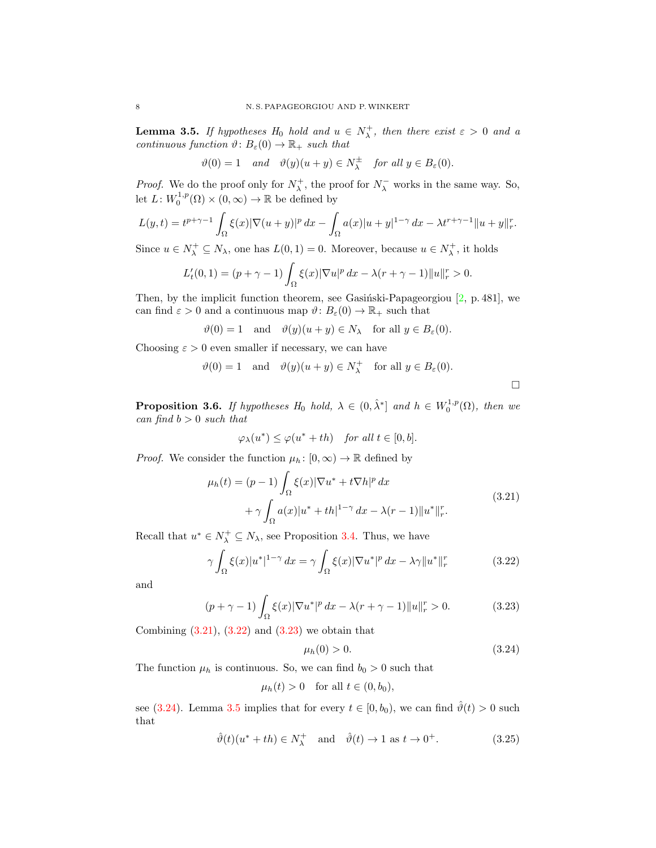<span id="page-7-4"></span>**Lemma 3.5.** If hypotheses  $H_0$  hold and  $u \in N^+_{\lambda}$ , then there exist  $\varepsilon > 0$  and a continuous function  $\vartheta: B_{\varepsilon}(0) \to \mathbb{R}_+$  such that

$$
\vartheta(0) = 1 \quad \text{and} \quad \vartheta(y)(u+y) \in N_{\lambda}^{\pm} \quad \text{for all } y \in B_{\varepsilon}(0).
$$

*Proof.* We do the proof only for  $N_{\lambda}^{+}$ , the proof for  $N_{\lambda}^{-}$  works in the same way. So, let  $L: W_0^{1,p}(\Omega) \times (0,\infty) \to \mathbb{R}$  be defined by

$$
L(y,t) = t^{p+\gamma-1} \int_{\Omega} \xi(x) |\nabla(u+y)|^p dx - \int_{\Omega} a(x) |u+y|^{1-\gamma} dx - \lambda t^{r+\gamma-1} ||u+y||_r^r.
$$

Since  $u \in N^+_\lambda \subseteq N_\lambda$ , one has  $L(0,1) = 0$ . Moreover, because  $u \in N^+_\lambda$ , it holds

$$
L'_{t}(0,1) = (p+\gamma-1)\int_{\Omega} \xi(x)|\nabla u|^{p} dx - \lambda(r+\gamma-1)||u||_{r}^{r} > 0.
$$

Then, by the implicit function theorem, see Gasinski-Papageorgiou  $[2, p. 481]$  $[2, p. 481]$ , we can find  $\varepsilon > 0$  and a continuous map  $\vartheta: B_{\varepsilon}(0) \to \mathbb{R}_+$  such that

$$
\vartheta(0) = 1
$$
 and  $\vartheta(y)(u + y) \in N_\lambda$  for all  $y \in B_\varepsilon(0)$ .

Choosing  $\varepsilon > 0$  even smaller if necessary, we can have

$$
\vartheta(0) = 1
$$
 and  $\vartheta(y)(u + y) \in N_{\lambda}^{+}$  for all  $y \in B_{\varepsilon}(0)$ .

<span id="page-7-6"></span>**Proposition 3.6.** If hypotheses  $H_0$  hold,  $\lambda \in (0, \hat{\lambda}^*]$  and  $h \in W_0^{1,p}(\Omega)$ , then we  $can find b > 0 such that$ 

$$
\varphi_{\lambda}(u^*) \leq \varphi(u^* + th) \quad \text{for all } t \in [0, b].
$$

*Proof.* We consider the function  $\mu_h: [0, \infty) \to \mathbb{R}$  defined by

$$
\mu_h(t) = (p-1) \int_{\Omega} \xi(x) |\nabla u^* + t \nabla h|^p dx + \gamma \int_{\Omega} a(x) |u^* + th|^{1-\gamma} dx - \lambda(r-1) ||u^*||_r^r.
$$
\n(3.21)

Recall that  $u^* \in N_\lambda^+ \subseteq N_\lambda$ , see Proposition [3.4.](#page-4-2) Thus, we have

$$
\gamma \int_{\Omega} \xi(x) |u^*|^{1-\gamma} dx = \gamma \int_{\Omega} \xi(x) |\nabla u^*|^p dx - \lambda \gamma \|u^*\|_r^r \tag{3.22}
$$

and

$$
(p + \gamma - 1) \int_{\Omega} \xi(x) |\nabla u^*|^p dx - \lambda (r + \gamma - 1) ||u||_r^r > 0.
$$
 (3.23)

Combining  $(3.21)$ ,  $(3.22)$  and  $(3.23)$  we obtain that

<span id="page-7-5"></span><span id="page-7-3"></span><span id="page-7-2"></span><span id="page-7-1"></span><span id="page-7-0"></span>
$$
\mu_h(0) > 0. \tag{3.24}
$$

The function  $\mu_h$  is continuous. So, we can find  $b_0 > 0$  such that

$$
\mu_h(t) > 0 \quad \text{for all } t \in (0, b_0),
$$

see [\(3.24\)](#page-7-3). Lemma [3.5](#page-7-4) implies that for every  $t \in [0, b_0)$ , we can find  $\hat{\vartheta}(t) > 0$  such that

$$
\hat{\vartheta}(t)(u^* + th) \in N_\lambda^+ \quad \text{and} \quad \hat{\vartheta}(t) \to 1 \text{ as } t \to 0^+.
$$
 (3.25)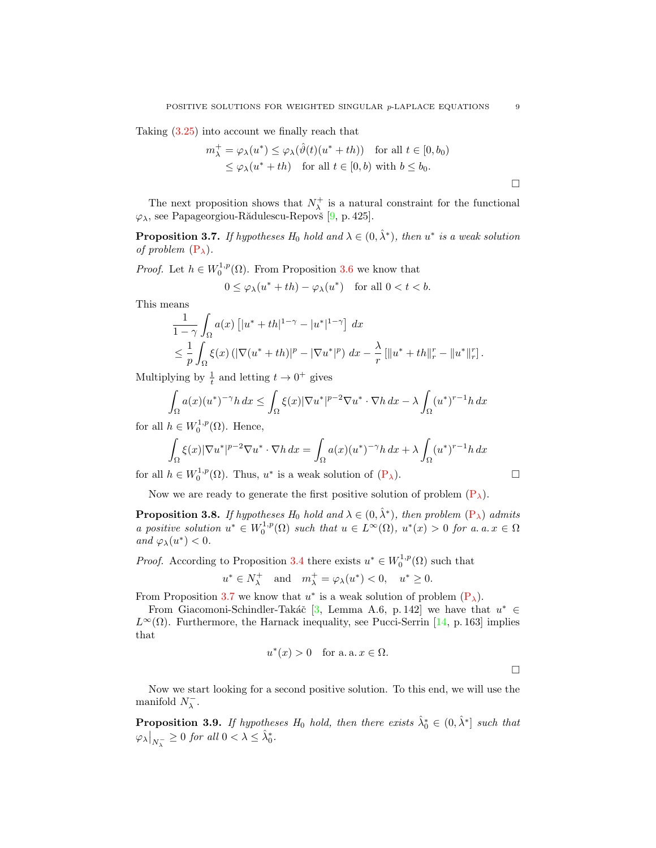Taking [\(3.25\)](#page-7-5) into account we finally reach that

$$
m_{\lambda}^{+} = \varphi_{\lambda}(u^{*}) \leq \varphi_{\lambda}(\hat{\vartheta}(t)(u^{*} + th)) \quad \text{for all } t \in [0, b_{0})
$$
  

$$
\leq \varphi_{\lambda}(u^{*} + th) \quad \text{for all } t \in [0, b) \text{ with } b \leq b_{0}.
$$

The next proposition shows that  $N^+_\lambda$  is a natural constraint for the functional  $\varphi_{\lambda}$ , see Papageorgiou-Rădulescu-Repovš [\[9,](#page-11-11) p. 425].

<span id="page-8-0"></span>**Proposition 3.7.** If hypotheses  $H_0$  hold and  $\lambda \in (0, \hat{\lambda}^*)$ , then  $u^*$  is a weak solution of problem  $(P_\lambda)$  $(P_\lambda)$ .

*Proof.* Let  $h \in W_0^{1,p}(\Omega)$ . From Proposition [3.6](#page-7-6) we know that

$$
0 \le \varphi_\lambda(u^* + th) - \varphi_\lambda(u^*) \quad \text{for all } 0 < t < b.
$$

This means

$$
\frac{1}{1-\gamma} \int_{\Omega} a(x) \left[ |u^* + th|^{1-\gamma} - |u^*|^{1-\gamma} \right] dx
$$
  
\n
$$
\leq \frac{1}{p} \int_{\Omega} \xi(x) \left( |\nabla (u^* + th)|^p - |\nabla u^*|^p \right) dx - \frac{\lambda}{r} \left[ ||u^* + th||_r^r - ||u^*||_r^r \right].
$$

Multiplying by  $\frac{1}{t}$  and letting  $t \to 0^+$  gives

$$
\int_{\Omega} a(x)(u^*)^{-\gamma} h\,dx \le \int_{\Omega} \xi(x) |\nabla u^*|^{p-2} \nabla u^* \cdot \nabla h\,dx - \lambda \int_{\Omega} (u^*)^{r-1} h\,dx
$$

for all  $h \in W_0^{1,p}(\Omega)$ . Hence,

$$
\int_{\Omega} \xi(x) |\nabla u^*|^{p-2} \nabla u^* \cdot \nabla h \, dx = \int_{\Omega} a(x) (u^*)^{-\gamma} h \, dx + \lambda \int_{\Omega} (u^*)^{r-1} h \, dx
$$

for all  $h \in W_0^{1,p}(\Omega)$ . Thus,  $u^*$  is a weak solution of  $(P_\lambda)$  $(P_\lambda)$ .

Now we are ready to generate the first positive solution of problem  $(P_{\lambda})$  $(P_{\lambda})$ .

**Proposition 3.8.** If hypotheses  $H_0$  hold and  $\lambda \in (0, \hat{\lambda}^*)$ , then problem  $(P_{\lambda})$  $(P_{\lambda})$  admits a positive solution  $u^* \in W_0^{1,p}(\Omega)$  such that  $u \in L^{\infty}(\Omega)$ ,  $u^*(x) > 0$  for a. a.  $x \in \Omega$ and  $\varphi_{\lambda}(u^*) < 0$ .

*Proof.* According to Proposition [3.4](#page-4-2) there exists  $u^* \in W_0^{1,p}(\Omega)$  such that

$$
u^* \in N_\lambda^+ \quad \text{and} \quad m_\lambda^+ = \varphi_\lambda(u^*) < 0, \quad u^* \ge 0.
$$

From Proposition [3.7](#page-8-0) we know that  $u^*$  is a weak solution of problem  $(P_{\lambda})$  $(P_{\lambda})$ .

From Giacomoni-Schindler-Takáč [\[3,](#page-10-0) Lemma A.6, p. 142] we have that  $u^* \in$  $L^{\infty}(\Omega)$ . Furthermore, the Harnack inequality, see Pucci-Serrin [\[14,](#page-11-1) p. 163] implies that

$$
u^*(x) > 0 \quad \text{for a. a. } x \in \Omega.
$$

Now we start looking for a second positive solution. To this end, we will use the manifold  $N_{\lambda}^{-}$ .

**Proposition 3.9.** If hypotheses  $H_0$  hold, then there exists  $\hat{\lambda}_0^* \in (0, \hat{\lambda}^*]$  such that  $\left.\varphi_{\lambda}\right|_{N_{\lambda}^{-}} \geq 0$  for all  $0 < \lambda \leq \hat{\lambda}_{0}^{*}$ .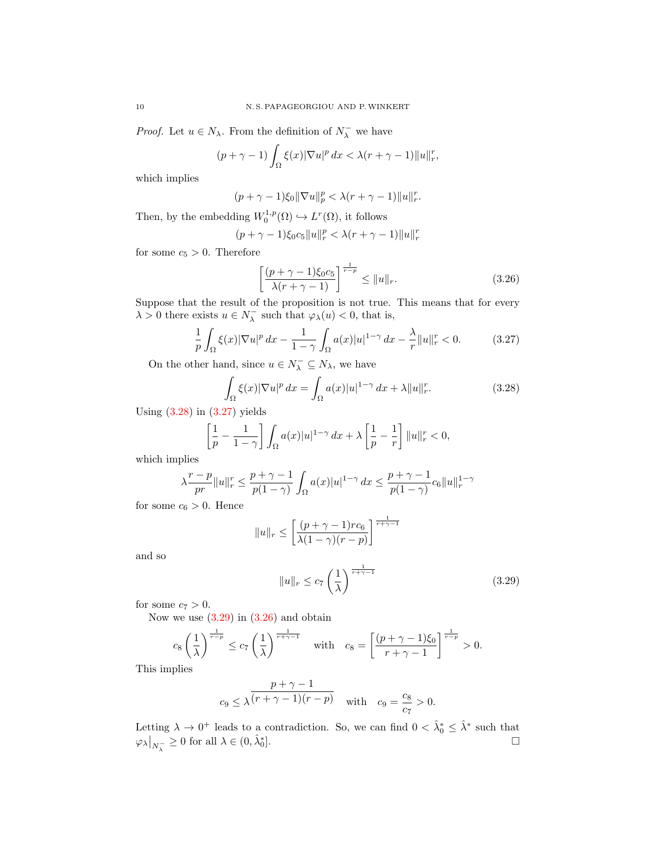*Proof.* Let  $u \in N_\lambda$ . From the definition of  $N_\lambda^-$  we have

$$
(p+\gamma-1)\int_{\Omega}\xi(x)|\nabla u|^p\,dx < \lambda(r+\gamma-1)\|u\|_r^r,
$$

which implies

$$
(p+\gamma-1)\xi_0\|\nabla u\|_p^p < \lambda(r+\gamma-1)\|u\|_r^r.
$$

Then, by the embedding  $W_0^{1,p}(\Omega) \hookrightarrow L^r(\Omega)$ , it follows

$$
(p + \gamma - 1)\xi_0 c_5 \|u\|_r^p < \lambda (r + \gamma - 1) \|u\|_r^r
$$

for some  $c_5 > 0$ . Therefore

<span id="page-9-3"></span><span id="page-9-1"></span><span id="page-9-0"></span>
$$
\left[\frac{(p+\gamma-1)\xi_0 c_5}{\lambda(r+\gamma-1)}\right]^{\frac{1}{r-p}} \le ||u||_r.
$$
\n(3.26)

Suppose that the result of the proposition is not true. This means that for every  $\lambda > 0$  there exists  $u \in N_{\lambda}^-$  such that  $\varphi_{\lambda}(u) < 0$ , that is,

$$
\frac{1}{p}\int_{\Omega}\xi(x)|\nabla u|^p\,dx - \frac{1}{1-\gamma}\int_{\Omega}a(x)|u|^{1-\gamma}\,dx - \frac{\lambda}{r}\|u\|_{r}^r < 0.\tag{3.27}
$$

On the other hand, since  $u \in N_{\lambda}^- \subseteq N_{\lambda}$ , we have

$$
\int_{\Omega} \xi(x) |\nabla u|^p dx = \int_{\Omega} a(x) |u|^{1-\gamma} dx + \lambda \|u\|_r^r. \tag{3.28}
$$

Using  $(3.28)$  in  $(3.27)$  yields

$$
\left[\frac{1}{p} - \frac{1}{1-\gamma}\right] \int_{\Omega} a(x)|u|^{1-\gamma} dx + \lambda \left[\frac{1}{p} - \frac{1}{r}\right] \|u\|_{r}^{r} < 0,
$$

which implies

$$
\lambda \frac{r-p}{pr} \|u\|_r^r \leq \frac{p+\gamma-1}{p(1-\gamma)} \int_\Omega a(x) |u|^{1-\gamma} \, dx \leq \frac{p+\gamma-1}{p(1-\gamma)} c_6 \|u\|_r^{1-\gamma}
$$

for some  $c_6 > 0$ . Hence

$$
||u||_r \le \left[\frac{(p+\gamma-1)rc_6}{\lambda(1-\gamma)(r-p)}\right]^{\frac{1}{r+\gamma-1}}
$$

and so

<span id="page-9-2"></span>
$$
||u||_r \le c_7 \left(\frac{1}{\lambda}\right)^{\frac{1}{r+\gamma-1}}\tag{3.29}
$$

for some  $c_7 > 0$ .

Now we use  $(3.29)$  in  $(3.26)$  and obtain

$$
c_8\left(\frac{1}{\lambda}\right)^{\frac{1}{r-p}} \le c_7\left(\frac{1}{\lambda}\right)^{\frac{1}{r+\gamma-1}} \quad \text{with} \quad c_8 = \left[\frac{(p+\gamma-1)\xi_0}{r+\gamma-1}\right]^{\frac{1}{r-p}} > 0.
$$

This implies

$$
c_9 \le \lambda \frac{p+\gamma-1}{(r+\gamma-1)(r-p)}
$$
 with  $c_9 = \frac{c_8}{c_7} > 0$ .

Letting  $\lambda \to 0^+$  leads to a contradiction. So, we can find  $0 < \hat{\lambda}_0^* \leq \hat{\lambda}^*$  such that  $\left. \varphi_{\lambda} \right|_{N_{\lambda}^{-}} \geq 0$  for all  $\lambda \in (0, \hat{\lambda}_{0}^{*}]$ .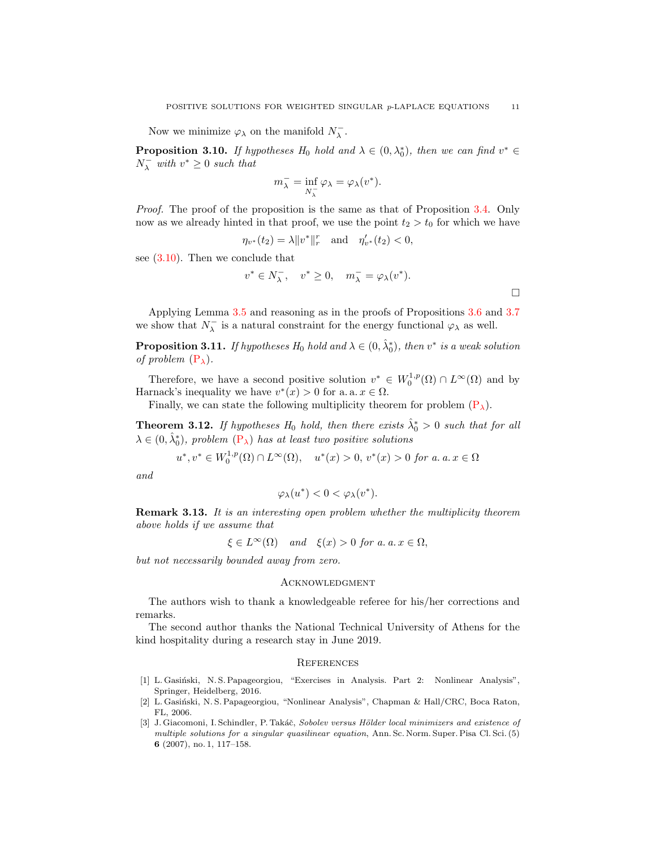Now we minimize  $\varphi_{\lambda}$  on the manifold  $N_{\lambda}^-$ .

**Proposition 3.10.** If hypotheses  $H_0$  hold and  $\lambda \in (0, \lambda_0^*)$ , then we can find  $v^* \in$  $N_{\lambda}^-$  with  $v^* \geq 0$  such that

$$
m_\lambda^- = \inf_{N_\lambda^-} \varphi_\lambda = \varphi_\lambda(v^*).
$$

Proof. The proof of the proposition is the same as that of Proposition [3.4.](#page-4-2) Only now as we already hinted in that proof, we use the point  $t_2 > t_0$  for which we have

$$
\eta_{v^*}(t_2) = \lambda \|v^*\|_r^r \quad \text{and} \quad \eta'_{v^*}(t_2) < 0,
$$

see [\(3.10\)](#page-5-0). Then we conclude that

$$
v^* \in N_\lambda^-, \quad v^* \ge 0, \quad m_\lambda^- = \varphi_\lambda(v^*).
$$

Applying Lemma [3.5](#page-7-4) and reasoning as in the proofs of Propositions [3.6](#page-7-6) and [3.7](#page-8-0) we show that  $N_{\lambda}^-$  is a natural constraint for the energy functional  $\varphi_{\lambda}$  as well.

**Proposition 3.11.** If hypotheses  $H_0$  hold and  $\lambda \in (0, \hat{\lambda}_0^*)$ , then  $v^*$  is a weak solution of problem  $(P_\lambda)$  $(P_\lambda)$ .

Therefore, we have a second positive solution  $v^* \in W_0^{1,p}(\Omega) \cap L^\infty(\Omega)$  and by Harnack's inequality we have  $v^*(x) > 0$  for a. a.  $x \in \Omega$ .

Finally, we can state the following multiplicity theorem for problem  $(P_{\lambda})$  $(P_{\lambda})$ .

**Theorem 3.12.** If hypotheses  $H_0$  hold, then there exists  $\hat{\lambda}_0^* > 0$  such that for all  $\lambda \in (0, \hat{\lambda}_0^*)$ , problem  $(P_{\lambda})$  $(P_{\lambda})$  has at least two positive solutions

 $u^*, v^* \in W_0^{1,p}(\Omega) \cap L^{\infty}(\Omega)$ ,  $u^*(x) > 0$ ,  $v^*(x) > 0$  for a. a.  $x \in \Omega$ 

and

$$
\varphi_{\lambda}(u^*)<0<\varphi_{\lambda}(v^*).
$$

Remark 3.13. It is an interesting open problem whether the multiplicity theorem above holds if we assume that

 $\xi \in L^{\infty}(\Omega)$  and  $\xi(x) > 0$  for a. a.  $x \in \Omega$ ,

but not necessarily bounded away from zero.

## **ACKNOWLEDGMENT**

The authors wish to thank a knowledgeable referee for his/her corrections and remarks.

The second author thanks the National Technical University of Athens for the kind hospitality during a research stay in June 2019.

#### **REFERENCES**

- <span id="page-10-1"></span>[1] L. Gasiński, N. S. Papageorgiou, "Exercises in Analysis. Part 2: Nonlinear Analysis", Springer, Heidelberg, 2016.
- <span id="page-10-2"></span>[2] L. Gasiński, N. S. Papageorgiou, "Nonlinear Analysis", Chapman & Hall/CRC, Boca Raton, FL, 2006.
- <span id="page-10-0"></span>[3] J. Giacomoni, I. Schindler, P. Takáč, Sobolev versus Hölder local minimizers and existence of multiple solutions for a singular quasilinear equation, Ann. Sc. Norm. Super. Pisa Cl. Sci. (5) 6 (2007), no. 1, 117–158.